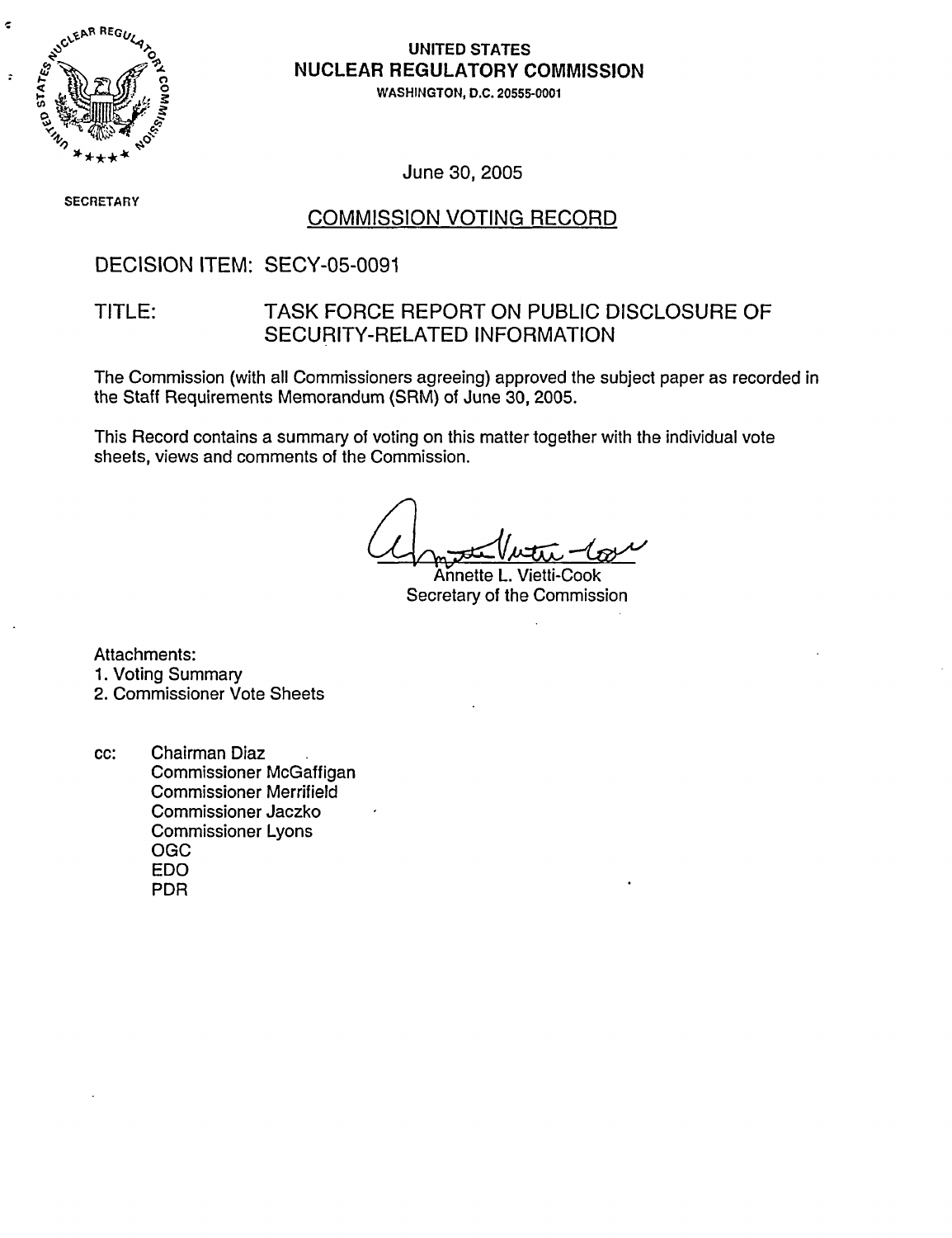

 $\epsilon$ 

 $\ddot{\cdot}$ 

## UNITED STATES NUCLEAR REGULATORY COMMISSION

WASHINGTON, D.C. 20555-0001

June 30, 2005

SEC RETARY

### COMMISSION VOTING RECORD

### DECISION ITEM: SECY-05-0091

### TITLE: TASK FORCE REPORT ON PUBLIC DISCLOSURE OF SECURITY-RELATED INFORMATION

The Commission (with all Commissioners agreeing) approved the subject paper as recorded in the Staff Requirements Memorandum (SRM) of June 30, 2005.

This Record contains a summary of voting on this matter together with the individual vote sheets, views and comments of the Commission.

Annette L. Vietti-Cook Secretary of the Commission

Attachments:

1. Voting Summary

2. Commissioner Vote Sheets

cc: Chairman Diaz Commissioner McGaffigan Commissioner Merrifield Commissioner Jaczko Commissioner Lyons OGC EDO PDR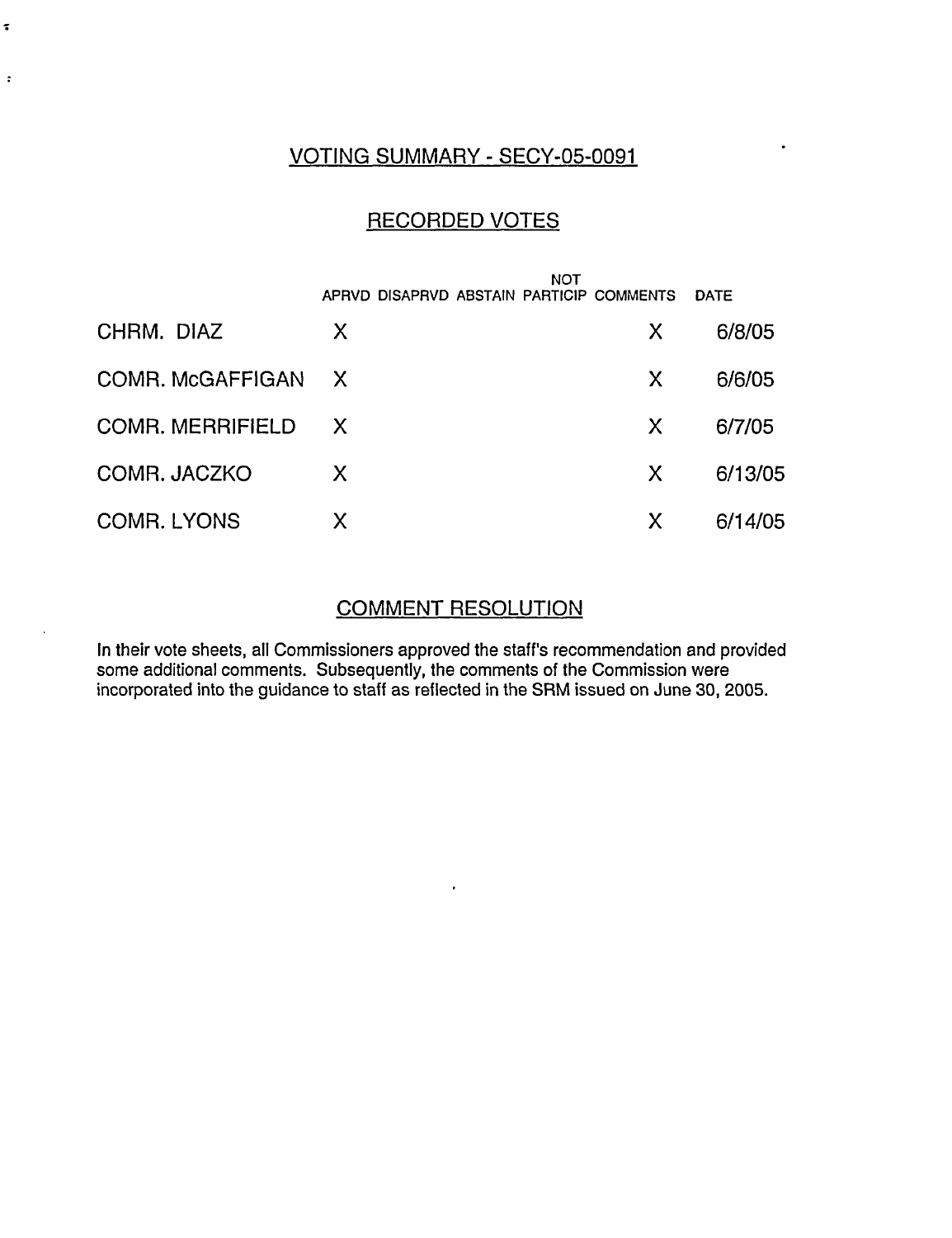### VOTING SUMMARY - SECY-05-0091

 $\ddot{\phantom{0}}$ 

 $\tilde{\bullet}$ 

 $\ddot{\phantom{a}}$ 

### RECORDED VOTES

|                         |              | NOT                                      |             |
|-------------------------|--------------|------------------------------------------|-------------|
|                         |              | APRVD DISAPRVD ABSTAIN PARTICIP COMMENTS | <b>DATE</b> |
| CHRM. DIAZ              | X            | X                                        | 6/8/05      |
| COMR. McGAFFIGAN        | $\mathsf{X}$ | X                                        | 6/6/05      |
| <b>COMR. MERRIFIELD</b> | $\mathsf{X}$ | X                                        | 6/7/05      |
| COMR. JACZKO            | X            | X                                        | 6/13/05     |
| <b>COMR. LYONS</b>      | X            | X                                        | 6/14/05     |

### COMMENT RESOLUTION

In their vote sheets, all Commissioners approved the staff's recommendation and provided some additional comments. Subsequently, the comments of the Commission were incorporated into the guidance to staff as reflected in the SRM issued on June 30, 2005.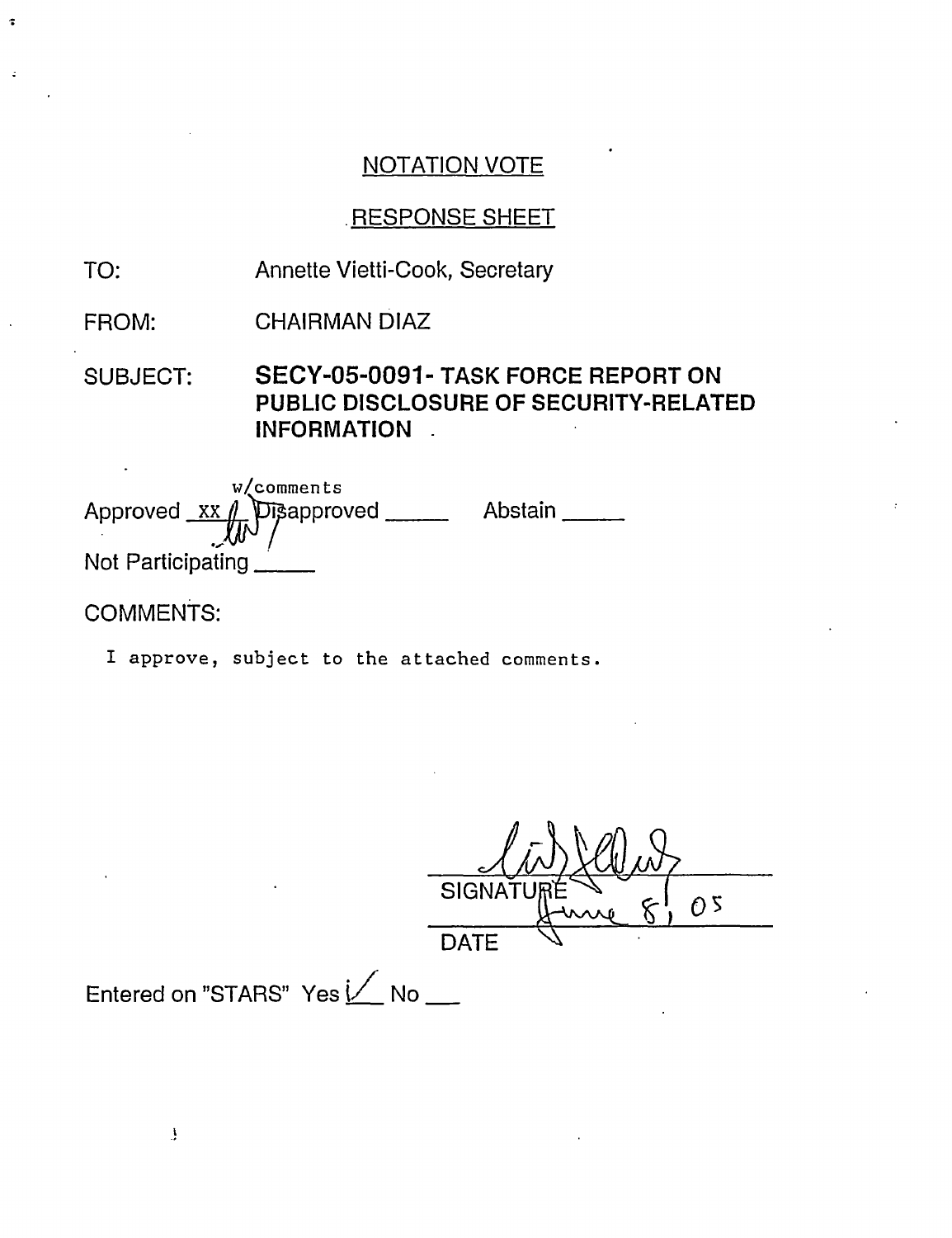# .RESPONSE SHEET

- TO: Annette Vietti-Cook, Secretary
- FROM: CHAIRMAN DIAZ

SUBJECT: **SECY-05-0091- TASK FORCE REPORT ON PUBLIC DISCLOSURE OF SECURITY-RELATED INFORMATION**

w/comments Approved XX Not Participating Disapproved \_\_\_\_\_\_\_ Abstain \_\_\_\_\_\_

COMMENTS:

 $\ddot{\bullet}$ 

I approve, subject to the attached comments.

 $\leftarrow$ **SIGNATI**  $\overline{0}$  s **DATE** 

Entered on "STARS" Yes  $1/$  No \_\_

 $\mathbf{J}$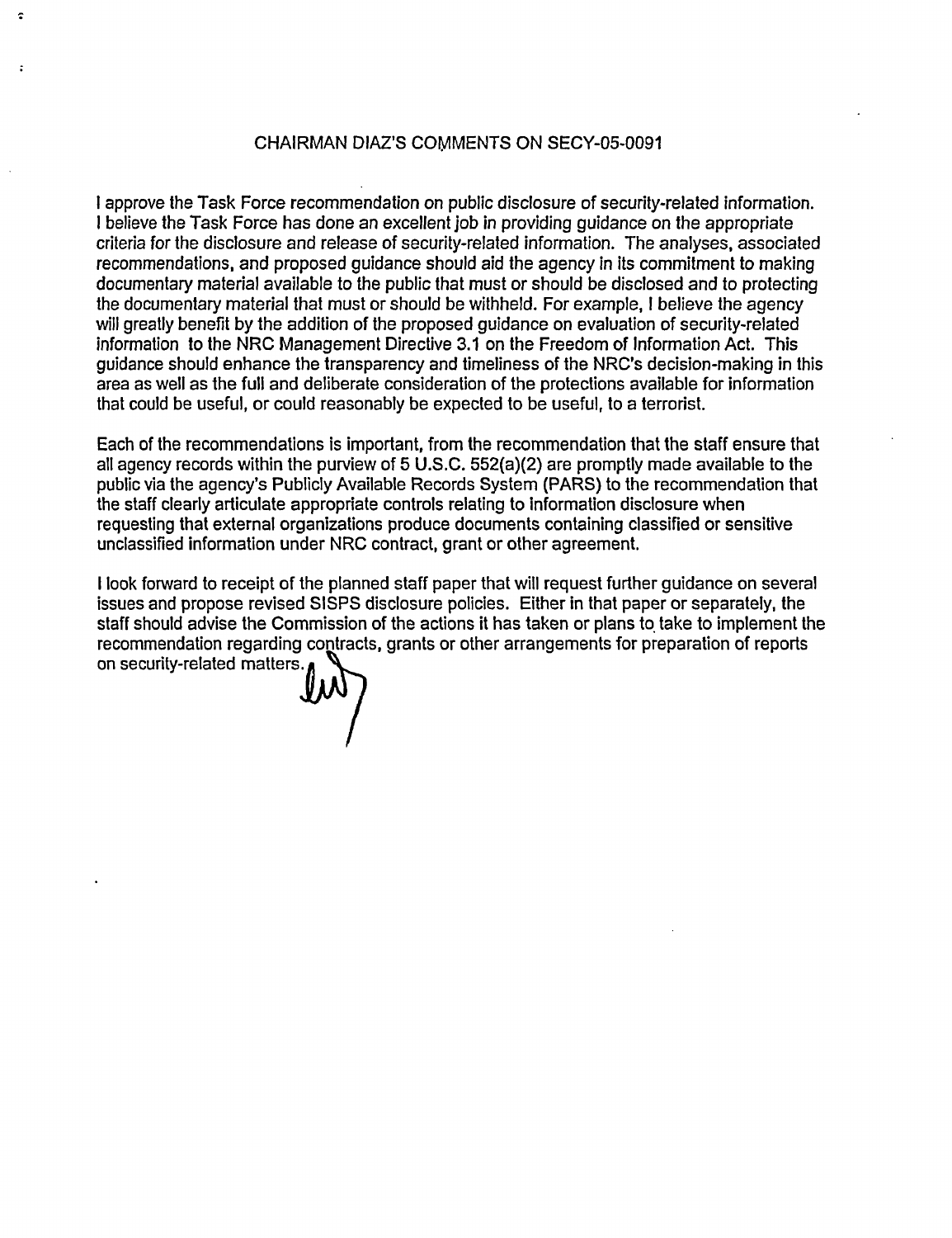#### CHAIRMAN DIAZ'S COMMENTS ON SECY-05-0091

I approve the Task Force recommendation on public disclosure of security-related information. I believe the Task Force has done an excellent job in providing guidance on the appropriate criteria for the disclosure and release of security-related information. The analyses, associated recommendations, and proposed guidance should aid the agency in its commitment to making documentary material available to the public that must or should be disclosed and to protecting the documentary material that must or should be withheld. For example, I believe the agency will greatly benefit by the addition of the proposed guidance on evaluation of security-related information to the NRC Management Directive 3.1 on the Freedom of Information Act. This guidance should enhance the transparency and timeliness of the NRC's decision-making in this area as well as the full and deliberate consideration of the protections available for information that could be useful, or could reasonably be expected to be useful, to a terrorist.

Each of the recommendations is important, from the recommendation that the staff ensure that all agency records within the purview of 5 U.S.C. 552(a)(2) are promptly made available to the public via the agency's Publicly Available Records System (PARS) to the recommendation that the staff clearly articulate appropriate controls relating to information disclosure when requesting that external organizations produce documents containing classified or sensitive unclassified information under NRC contract, grant or other agreement.

I look forward to receipt of the planned staff paper that will request further guidance on several issues and propose revised SISPS disclosure policies. Either in that paper or separately, the staff should advise the Commission of the actions it has taken or plans to take to implement the recommendation regarding contracts, grants or other arrangements for preparation of reports on security-related matters

÷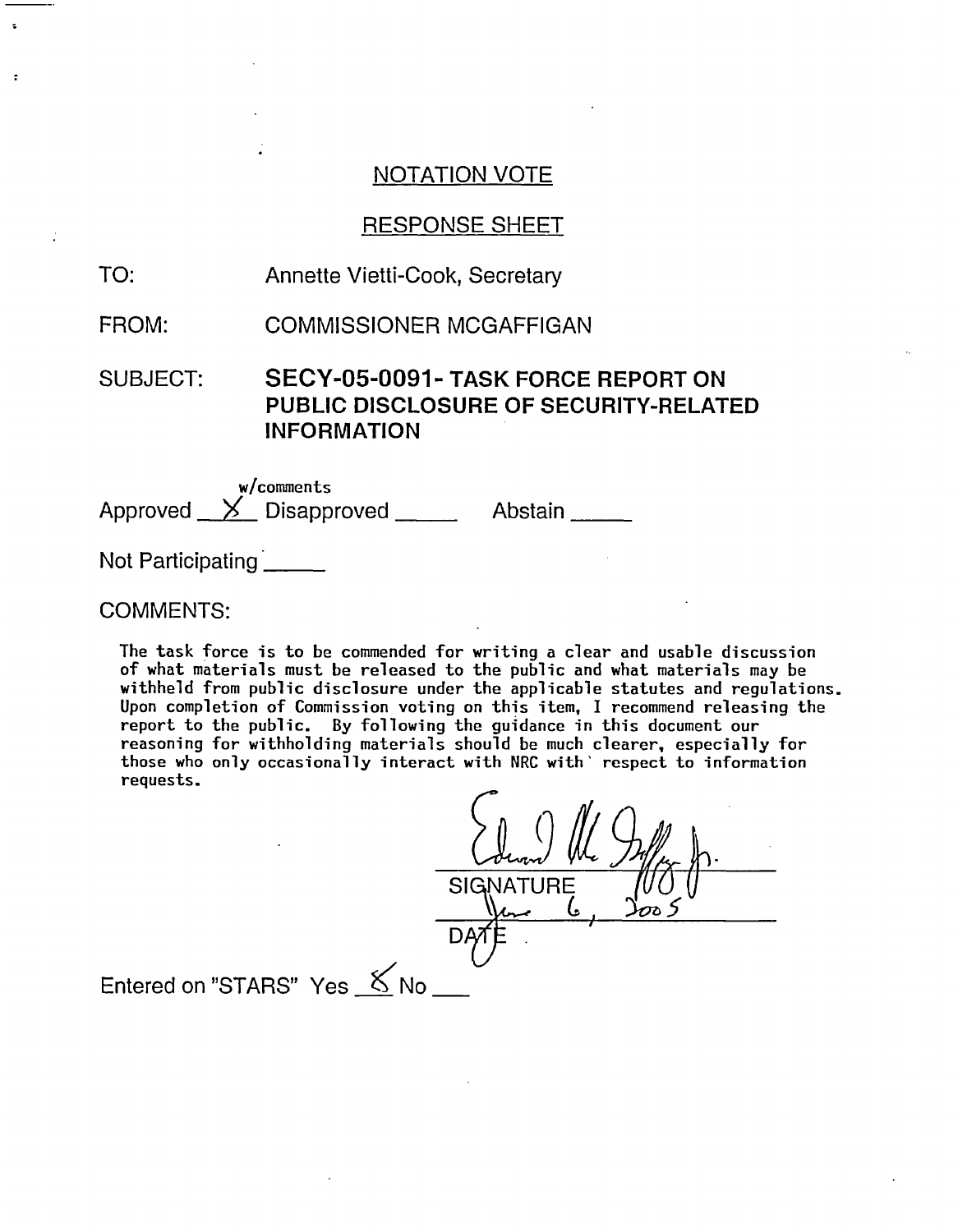### RESPONSE SHEET

TO: Annette Vietti-Cook, Secretary

FROM: COMMISSIONER MCGAFFIGAN

SUBJECT: SECY-05-0091- TASK FORCE REPORT ON PUBLIC DISCLOSURE OF SECURITY-RELATED INFORMATION

w/comments Approved  $\times$  Disapproved  $\times$  Abstain

Not Participating **Not** 

#### COMMENTS:

The task force is to be commended for writing a clear and usable discussion of what materials must be released to the public and what materials may be withheld from public disclosure under the applicable statutes and regulations. Upon completion of Commission voting on this item, I recommend releasing the report to the public. By following the guidance in this document our reasoning for withholding materials should be much clearer, especially for those who only occasionally interact with NRC with' respect to information requests.

**SIGNATURE** ι. 7Ê Entered on "STARS" Yes  $\&$  No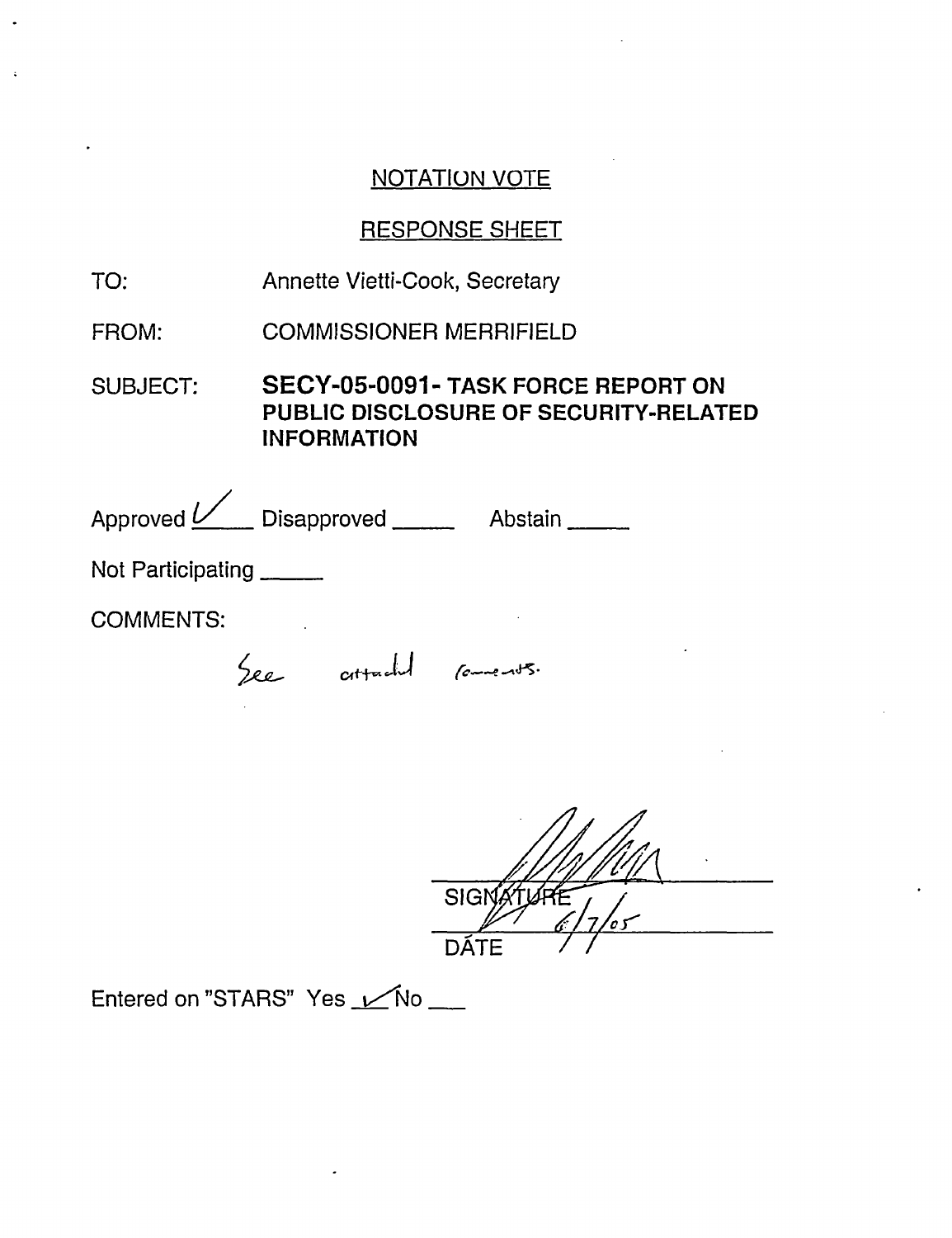## RESPONSE SHEET

- TO: Annette Vietti-Cook, Secretary
- FROM: COMMISSIONER MERRIFIELD

SUBJECT: **SECY-05-0091- TASK FORCE REPORT ON PUBLIC DISCLOSURE OF SECURITY-RELATED INFORMATION**

Approved <u>Latenc</u> Disapproved \_\_\_\_\_\_\_\_\_\_ Abstain

Not Participating \_\_\_\_\_\_

COMMENTS:

See attached comments.

SIGNA DÁTF

Entered on "STARS" Yes Mo \_\_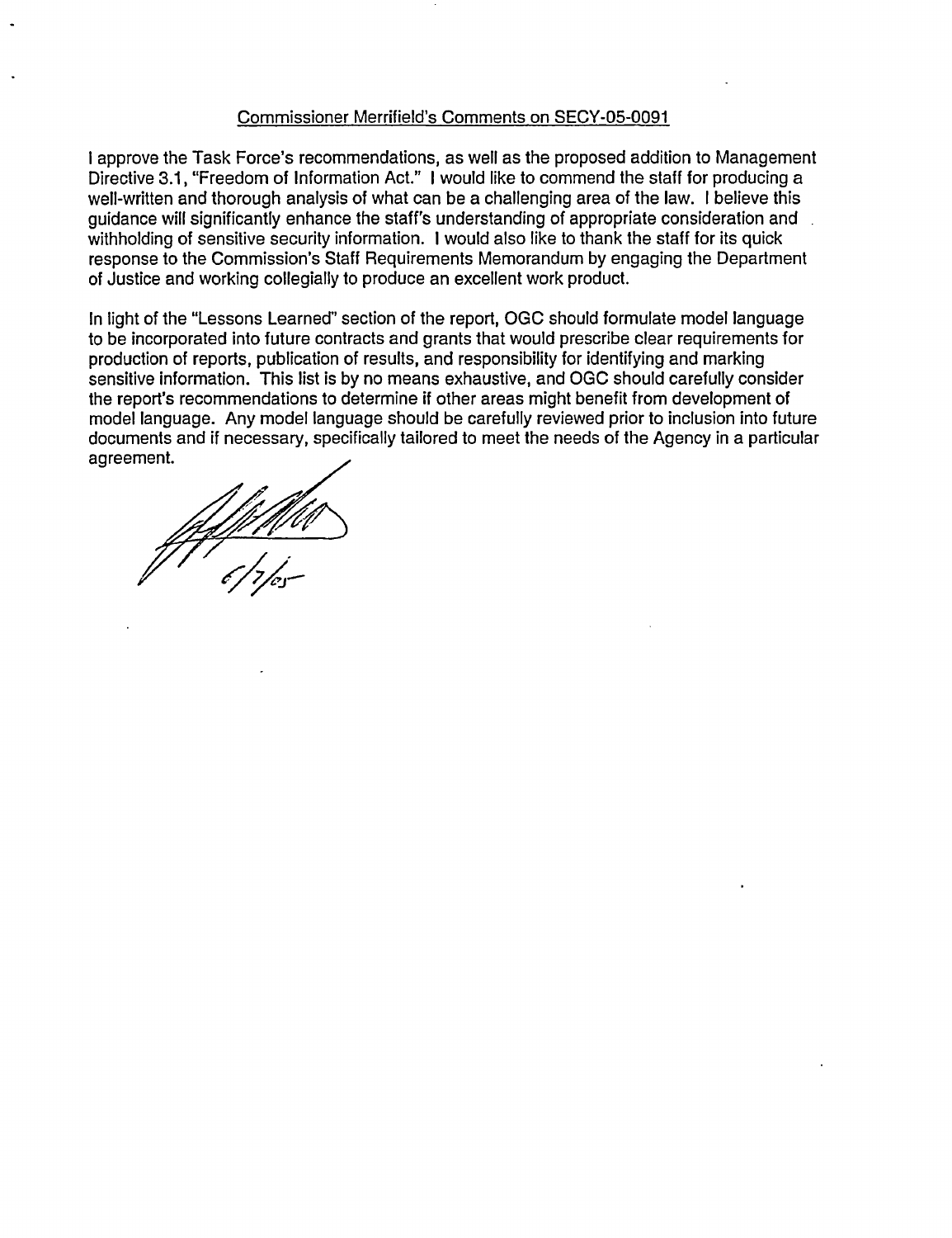#### Commissioner Merrifield's Comments on SECY-05-0091

I approve the Task Force's recommendations, as well as the proposed addition to Management Directive 3.1, "Freedom of Information Act." I would like to commend the staff for producing a well-written and thorough analysis of what can be a challenging area of the law. I believe this guidance will significantly enhance the staff's understanding of appropriate consideration and withholding of sensitive security information. I would also like to thank the staff for its quick response to the Commission's Staff Requirements Memorandum by engaging the Department of Justice and working collegially to produce an excellent work product.

In light of the "Lessons Learned" section of the report, OGC should formulate model language to be incorporated into future contracts and grants that would prescribe clear requirements for production of reports, publication of results, and responsibility for identifying and marking sensitive information. This list is by no means exhaustive, and OGC should carefully consider the report's recommendations to determine if other areas might benefit from development of model language. Any model language should be carefully reviewed prior to inclusion into future documents and if necessary, specifically tailored to meet the needs of the Agency in a particular agreement.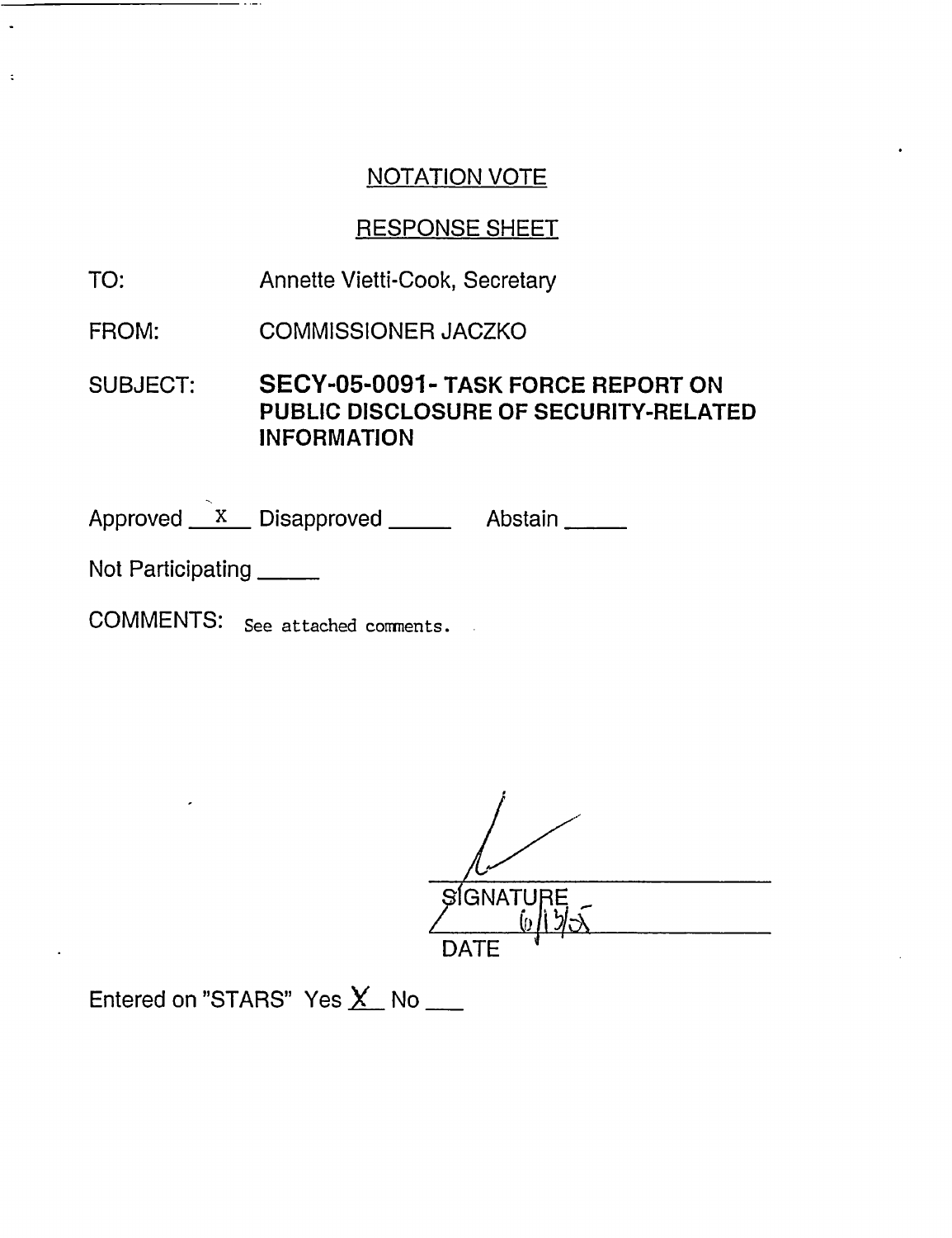## RESPONSE SHEET

- TO: Annette Vietti-Cook, Secretary
- FROM: COMMISSIONER JACZKO

SUBJECT: SECY-05-0091- TASK FORCE REPORT ON PUBLIC DISCLOSURE OF SECURITY-RELATED INFORMATION

Approved X Disapproved Abstain

Not Participating

 $\ddot{\cdot}$ 

COMMENTS: See attached comments.

I  $S$ GNATURE DATE

Entered on "STARS" Yes  $X$  No  $\_\_\_\_\$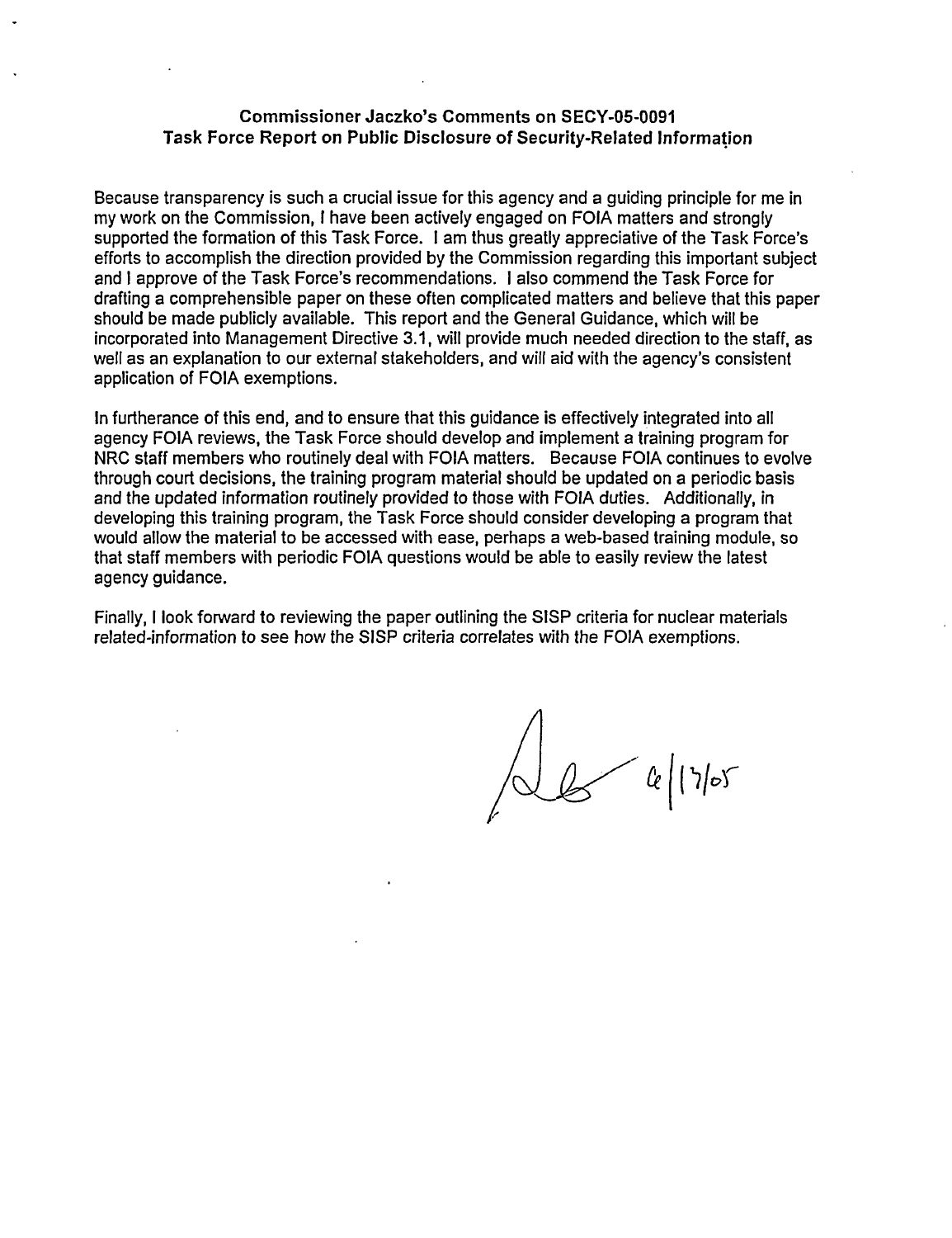#### **Commissioner Jaczko's Comments on** SECY-05-0091 **Task Force Report on Public Disclosure of Security-Related Information**

Because transparency is such a crucial issue for this agency and a guiding principle for me in my work on the Commission, I have been actively engaged on FOIA matters and strongly supported the formation of this Task Force. I am thus greatly appreciative of the Task Force's efforts to accomplish the direction provided by the Commission regarding this important subject and I approve of the Task Force's recommendations. I also commend the Task Force for drafting a comprehensible paper on these often complicated matters and believe that this paper should be made publicly available. This report and the General Guidance, which will be incorporated into Management Directive 3.1, will provide much needed direction to the staff, as well as an explanation to our external stakeholders, and will aid with the agency's consistent application of FOIA exemptions.

In furtherance of this end, and to ensure that this guidance is effectively integrated into all agency FOIA reviews, the Task Force should develop and implement a training program for NRC staff members who routinely deal with FOIA matters. Because FOIA continues to evolve through court decisions, the training program material should be updated on a periodic basis and the updated information routinely provided to those with FOIA duties. Additionally, in developing this training program, the Task Force should consider developing a program that would allow the material to be accessed with ease, perhaps a web-based training module, so that staff members with periodic FOIA questions would be able to easily review the latest agency guidance.

Finally, I look forward to reviewing the paper outlining the SISP criteria for nuclear materials related-information to see how the SISP criteria correlates with the FOIA exemptions.

 $6|17|05$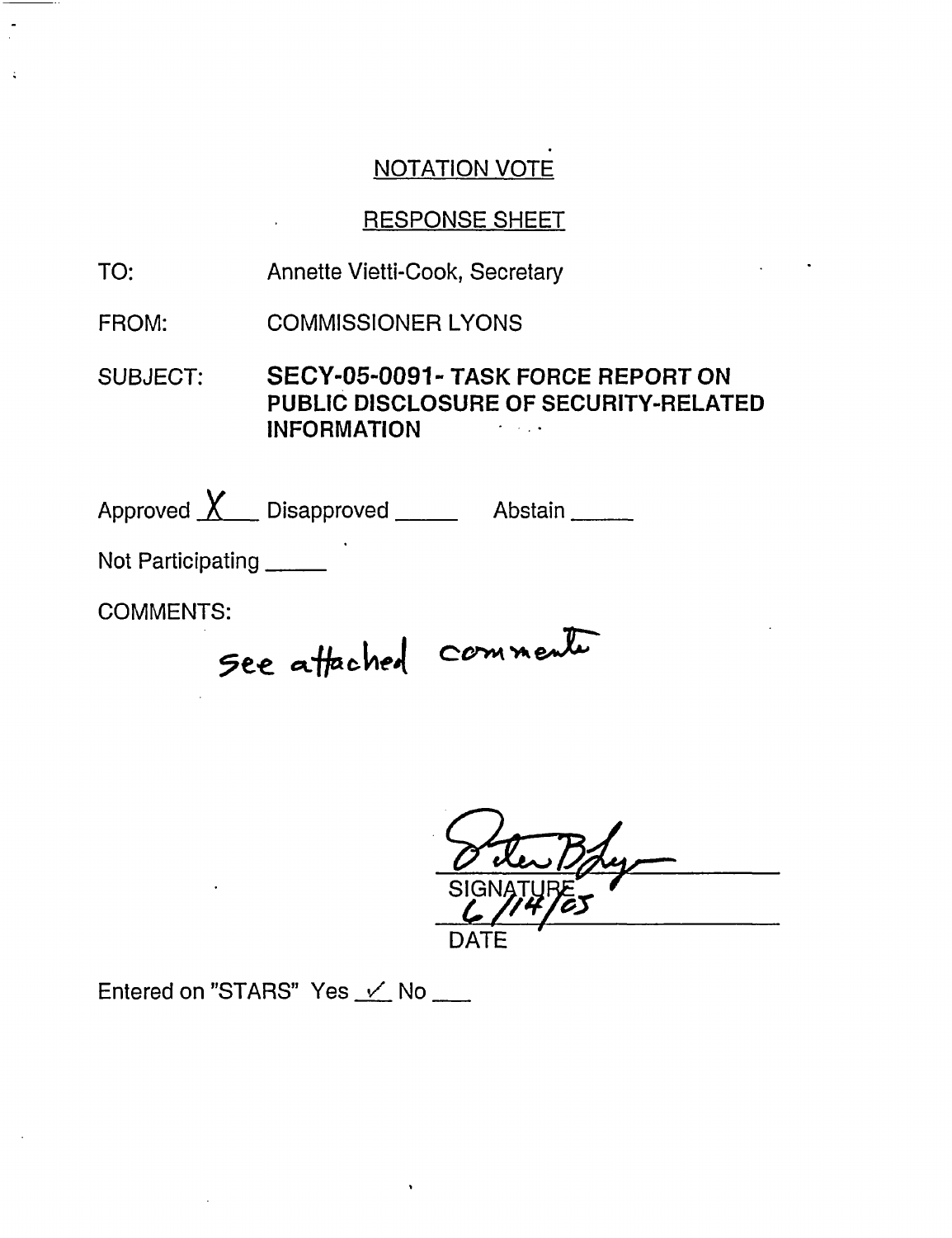## RESPONSE SHEET

- TO: Annette Vietti-Cook, Secretary
- FROM: COMMISSIONER LYONS

SUBJECT: **SECY-05-0091** - **TASK FORCE REPORT ON PUBLIC DISCLOSURE OF SECURITY-RELATED INFORMATION**  $\mathcal{A}=\mathcal{A}^{\dagger}$  ,  $\mathcal{A}^{\dagger}$ 

Approved  $X$  Disapproved  $\frac{1}{1}$  Abstain  $\frac{1}{1}$ 

Not Participating

COMMENTS:

5ee attached commenter

DATE

Entered on "STARS" Yes  $\checkmark$  No  $\Box$